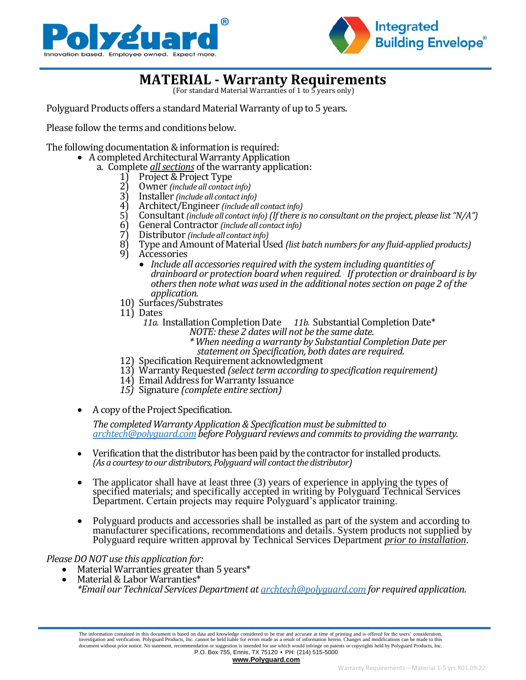



## **MATERIAL - Warranty Requirements**

(For standard Material Warranties of 1 to 5 years only)

Polyguard Products offers a standard Material Warranty of up to 5 years.

Please follow the terms and conditions below.

The following documentation & information is required:

- A completed Architectural Warranty Application
	- a. Complete *all sections* of the warranty application:<br>1) Project & Project Type<br>2) Owner *(include all contact info)* 
		- 1) Project & Project Type
		- 2) Owner *(include all contact info)*
		- 3) Installer *(include all contact info)*
		- 4) Architect/Engineer *(include all contact info)*
		- 5) Consultant *(include all contact info) (If there is no consultant on the project, please list "N/A")* <br>6) General Contractor *(include all contact info)*
		- 6) General Contractor *(include all contact info)*
		- 7) Distributor *(include all contact info)*
		- 8) Type and Amount of Material Used *(list batch numbers for any fluid-applied products)*
		- **Accessories** 
			- *Include all accessories required with the system including quantities of drainboard or protection board when required. If protection or drainboard is by others then note what was used in the additional notes section on page 2 of the application.*
		- 10) Surfaces/Substrates
		- 11) Dates
			- *11a*. Installation Completion Date *11b.* Substantial Completion Date\* *NOTE: these 2 dates will not be the same date.*
				- *\* When needing a warranty by Substantial Completion Date per statement on Specification, both dates are required.*
		- 12) Specification Requirement acknowledgment
		- 13) Warranty Requested *(select term according to specification requirement)*
		- 14) Email Address for Warranty Issuance
		- *15)* Signature *(complete entire section)*
- A copy of the Project Specification.

*The completed Warranty Application & Specification must be submitted to [archtech@polyguard.comb](mailto:archtech@polyguard.com)efore Polyguard reviews and commits to providing the warranty.*

- Verification that the distributor has been paid by the contractor for installed products. *(As a courtesy to our distributors, Polyguard will contact the distributor)*
- The applicator shall have at least three (3) years of experience in applying the types of specified materials; and specifically accepted in writing by Polyguard Technical Services Department. Certain projects may require Polyguard's applicator training.
- Polyguard products and accessories shall be installed as part of the system and according to manufacturer specifications, recommendations and details. System products not supplied by Polyguard require written approval by Technical Services Department *prior to installation*.

## *Please DO NOT use this application for:*

- Material Warranties greater than 5 years\*
- Material & Labor Warranties\* *\*Email our Technical Services Department a[t archtech@polyguard.com](mailto:archtech@polyguard.com) for required application.*

**[www.Polyguard.com](http://www.polyguard.com/)**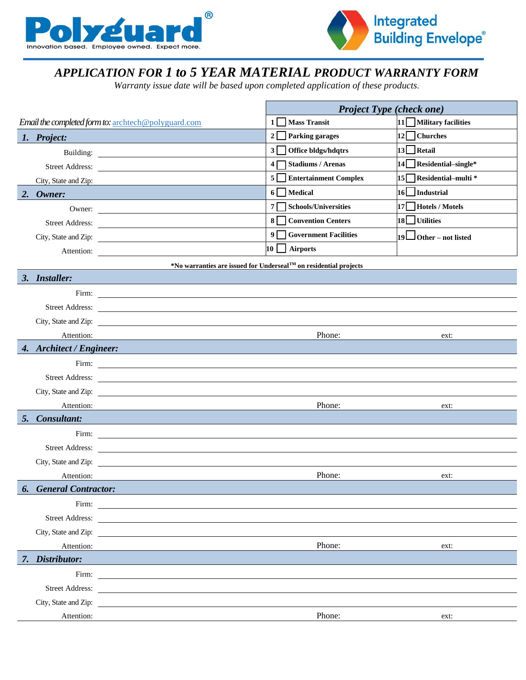



## *APPLICATION FOR 1 to 5 YEAR MATERIAL PRODUCT WARRANTY FORM*

*Warranty issue date will be based upon completed application of these products.*

|    |                                                                                                                               | <b>Project Type (check one)</b>                                               |                          |  |  |
|----|-------------------------------------------------------------------------------------------------------------------------------|-------------------------------------------------------------------------------|--------------------------|--|--|
|    | Email the completed form to: archtech@polyguard.com                                                                           | $1 \vert$<br><b>Mass Transit</b>                                              | 11   Military facilities |  |  |
|    | 1. Project:                                                                                                                   | $2\Box$<br><b>Parking garages</b>                                             | $12$ Churches            |  |  |
|    |                                                                                                                               | $3\Box$<br>Office bldgs/hdqtrs                                                | $13$ Retail              |  |  |
|    |                                                                                                                               | 4 <sub>1</sub><br><b>Stadiums / Arenas</b>                                    | 14 Residential-single*   |  |  |
|    | City, State and Zip:                                                                                                          | $5\sqrt{ }$<br><b>Entertainment Complex</b>                                   | 15 Residential-multi *   |  |  |
| 2. | Owner:                                                                                                                        | $6\sqrt{ }$<br><b>Medical</b>                                                 | 16 Industrial            |  |  |
|    | Owner: $\qquad \qquad$                                                                                                        | 7 <sup>5</sup><br><b>Schools/Universities</b>                                 | $17$ Hotels / Motels     |  |  |
|    | Street Address:                                                                                                               | $8\Box$<br><b>Convention Centers</b>                                          | $18$ Utilities           |  |  |
|    |                                                                                                                               | $9\Box$<br><b>Government Facilities</b>                                       | $19$ Other – not listed  |  |  |
|    |                                                                                                                               | 10 I<br><b>Airports</b>                                                       |                          |  |  |
|    |                                                                                                                               | *No warranties are issued for Underseal <sup>TM</sup> on residential projects |                          |  |  |
|    | 3. Installer:                                                                                                                 |                                                                               |                          |  |  |
|    |                                                                                                                               |                                                                               |                          |  |  |
|    |                                                                                                                               |                                                                               |                          |  |  |
|    | City, State and Zip:                                                                                                          |                                                                               |                          |  |  |
|    | Attention:                                                                                                                    | Phone:<br>ext:                                                                |                          |  |  |
|    | 4. Architect / Engineer:                                                                                                      |                                                                               |                          |  |  |
|    |                                                                                                                               |                                                                               |                          |  |  |
|    |                                                                                                                               |                                                                               |                          |  |  |
|    | City, State and Zip:                                                                                                          |                                                                               |                          |  |  |
|    | Attention:                                                                                                                    | Phone:                                                                        | ext:                     |  |  |
| 5. | Consultant:                                                                                                                   |                                                                               |                          |  |  |
|    | Firm: $\qquad \qquad$                                                                                                         |                                                                               |                          |  |  |
|    |                                                                                                                               |                                                                               |                          |  |  |
|    |                                                                                                                               |                                                                               |                          |  |  |
|    | Attention:                                                                                                                    | Phone:                                                                        | ext:                     |  |  |
|    | <b>6.</b> General Contractor:                                                                                                 |                                                                               |                          |  |  |
|    | Firm:<br><u> 1980 - Andrea Barbara, poeta esperanto-poeta esperanto-poeta esperanto-poeta esperanto-poeta esperanto-poeta</u> |                                                                               |                          |  |  |
|    | Street Address:                                                                                                               |                                                                               |                          |  |  |
|    | City, State and Zip: 2007.                                                                                                    |                                                                               |                          |  |  |
|    | Attention:                                                                                                                    | Phone:                                                                        | ext:                     |  |  |
|    | 7. Distributor:                                                                                                               |                                                                               |                          |  |  |
|    |                                                                                                                               |                                                                               |                          |  |  |
|    | Street Address:                                                                                                               |                                                                               |                          |  |  |
|    |                                                                                                                               |                                                                               |                          |  |  |
|    | Attention:                                                                                                                    | Phone:                                                                        | ext:                     |  |  |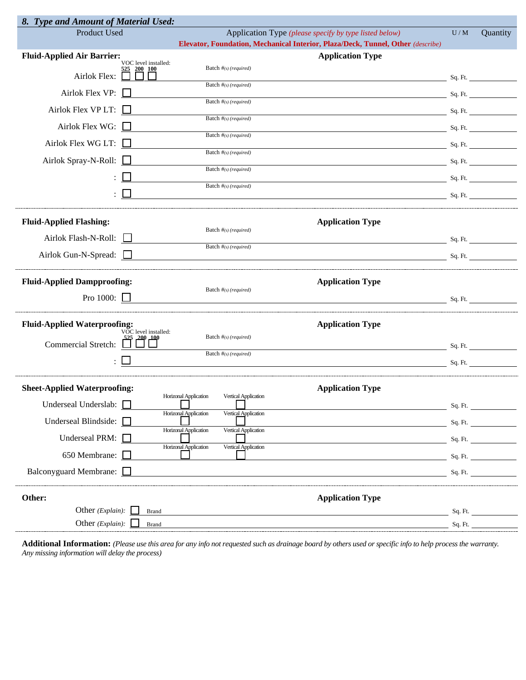| 8. Type and Amount of Material Used:                                                                                          |                                                                                 |       |                 |  |  |  |  |
|-------------------------------------------------------------------------------------------------------------------------------|---------------------------------------------------------------------------------|-------|-----------------|--|--|--|--|
| Product Used                                                                                                                  | Application Type (please specify by type listed below)                          | $U/M$ | Quantity        |  |  |  |  |
|                                                                                                                               | Elevator, Foundation, Mechanical Interior, Plaza/Deck, Tunnel, Other (describe) |       |                 |  |  |  |  |
| <b>Fluid-Applied Air Barrier:</b><br>VOC level installed:                                                                     | <b>Application Type</b>                                                         |       |                 |  |  |  |  |
| <b>200 100</b><br>Airlok Flex:                                                                                                | Batch $#_{(s)}$ (required)                                                      |       | Sq. Ft.         |  |  |  |  |
| Airlok Flex VP: $\square$                                                                                                     | Batch $#_{(s)}$ (required)                                                      |       | $Sq. \cdot Ft.$ |  |  |  |  |
| Airlok Flex VP LT: $\Box$                                                                                                     | Batch #(s) (required)<br>Batch $#_{(s)}$ (required)                             |       | Sq. Ft.         |  |  |  |  |
| Airlok Flex WG: $\square$                                                                                                     | Batch #(s) (required)                                                           |       | Sq. Ft.         |  |  |  |  |
| Airlok Flex WG LT:                                                                                                            | $Sq. \cdot Ft.$<br>Batch #(s) (required)                                        |       |                 |  |  |  |  |
| Airlok Spray-N-Roll:                                                                                                          | $Sq. \cdot Ft.$                                                                 |       |                 |  |  |  |  |
|                                                                                                                               | Batch #(s) (required)<br><b>Sq. Ft.</b> The Sq. Ft.                             |       |                 |  |  |  |  |
|                                                                                                                               | Batch $#_{(s)}$ (required)<br>$Sq.$ Ft.                                         |       |                 |  |  |  |  |
| <b>Fluid-Applied Flashing:</b>                                                                                                | <b>Application Type</b>                                                         |       |                 |  |  |  |  |
|                                                                                                                               | Batch $#_{(s)}$ (required)                                                      |       |                 |  |  |  |  |
| Airlok Flash-N-Roll:                                                                                                          | Sq. Ft.<br>Batch $#_{(s)}$ (required)                                           |       |                 |  |  |  |  |
| Airlok Gun-N-Spread: $\Box$                                                                                                   | Sq. Ft.                                                                         |       |                 |  |  |  |  |
| <b>Fluid-Applied Dampproofing:</b>                                                                                            | <b>Application Type</b>                                                         |       |                 |  |  |  |  |
| Pro 1000: $\Box$                                                                                                              | Batch #(s) (required)                                                           |       | Sq. Ft.         |  |  |  |  |
| <b>Fluid-Applied Waterproofing:</b><br>VOC level installed:                                                                   | <b>Application Type</b>                                                         |       |                 |  |  |  |  |
| <b>Commercial Stretch:</b>                                                                                                    | Batch #(s) (required)                                                           |       | Sq. Ft.         |  |  |  |  |
|                                                                                                                               | Batch $#(s)$ (required)<br>$Sq. \cdot Ft.$                                      |       |                 |  |  |  |  |
|                                                                                                                               |                                                                                 |       |                 |  |  |  |  |
| <b>Sheet-Applied Waterproofing:</b><br><b>Application Type</b><br><b>Horizonal Application</b><br><b>Vertical Application</b> |                                                                                 |       |                 |  |  |  |  |
| Underseal Underslab:                                                                                                          | Horizonal Application<br>Vertical Application                                   |       | Sq. Ft.         |  |  |  |  |
| Underseal Blindside:                                                                                                          | Horizonal Application<br>Vertical Application                                   |       | Sq. Ft.         |  |  |  |  |
| Underseal PRM:                                                                                                                | Horizonal Application<br>Vertical Application                                   |       | Sq. Ft.         |  |  |  |  |
| 650 Membrane:                                                                                                                 |                                                                                 |       | Sq. Ft.         |  |  |  |  |
| Balconyguard Membrane:                                                                                                        |                                                                                 |       | Sq. Ft.         |  |  |  |  |
| Other:                                                                                                                        | <b>Application Type</b>                                                         |       |                 |  |  |  |  |
| Other ( <i>Explain</i> ): $\Box$<br><b>Brand</b>                                                                              |                                                                                 |       | Sq. Ft.         |  |  |  |  |
| Other (Explain):<br><b>Brand</b>                                                                                              |                                                                                 |       | Sq. Ft.         |  |  |  |  |

**Additional Information:** *(Please use this area for any info not requested such as drainage board by others used or specific info to help process the warranty. Any missing information will delay the process)*